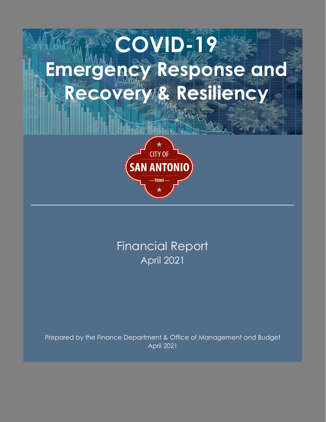# **COVID-19 Emergency Response and Recovery & Resiliency**<br>**Illian State Advisor**



April 2021 Financial Report

Prepared by the Finance Department & Office of Management and Budget April 2021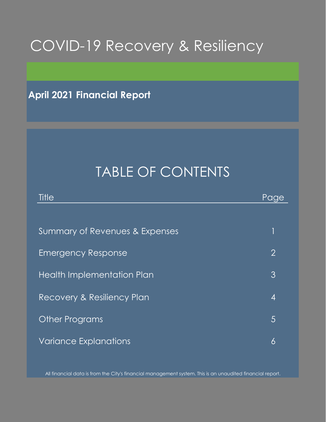## COVID-19 Recovery & Resiliency

**April 2021 Financial Report**

## TABLE OF CONTENTS

| Title                             | <u>Page</u>    |
|-----------------------------------|----------------|
|                                   |                |
| Summary of Revenues & Expenses    |                |
| <b>Emergency Response</b>         | $\overline{2}$ |
| <b>Health Implementation Plan</b> | 3              |
| Recovery & Resiliency Plan        | 4              |
| Other Programs                    | 5              |
| <b>Variance Explanations</b>      | 6              |

All financial data is from the City's financial management system. This is an unaudited financial report.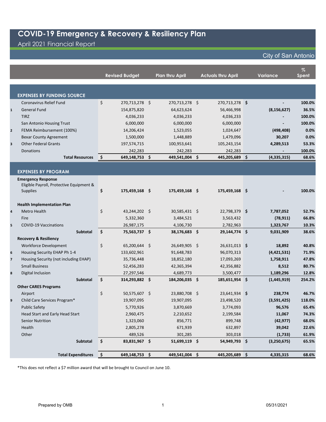## April 2021 Financial Report

#### City of San Antonio

|                         |                                          |                     |                       |                        |                           |                 | $\%$         |
|-------------------------|------------------------------------------|---------------------|-----------------------|------------------------|---------------------------|-----------------|--------------|
|                         |                                          |                     | <b>Revised Budget</b> | <b>Plan thru April</b> | <b>Actuals thru April</b> | <b>Variance</b> | <b>Spent</b> |
|                         |                                          |                     |                       |                        |                           |                 |              |
|                         |                                          |                     |                       |                        |                           |                 |              |
|                         | <b>EXPENSES BY FUNDING SOURCE</b>        |                     |                       |                        |                           |                 |              |
|                         | <b>Coronavirus Relief Fund</b>           | \$                  | 270,713,278 \$        | 270,713,278 \$         | 270,713,278 \$            |                 | 100.0%       |
| $\mathbf{1}$            | <b>General Fund</b>                      |                     | 154,875,820           | 64,623,624             | 56,466,998                | (8, 156, 627)   | 36.5%        |
|                         | <b>TIRZ</b>                              |                     | 4,036,233             | 4,036,233              | 4,036,233                 |                 | 100.0%       |
|                         | San Antonio Housing Trust                |                     | 6,000,000             | 6,000,000              | 6,000,000                 |                 | 100.0%       |
| $\mathbf{2}$            | FEMA Reimbursement (100%)                |                     | 14,206,424            | 1,523,055              | 1,024,647                 | (498, 408)      | 0.0%         |
|                         | <b>Bexar County Agreement</b>            |                     | 1,500,000             | 1,448,889              | 1,479,096                 | 30,207          | 0.0%         |
| 3                       | <b>Other Federal Grants</b>              |                     | 197,574,715           | 100,953,641            | 105,243,154               | 4,289,513       | 53.3%        |
|                         | Donations                                |                     | 242,283               | 242,283                | 242,283                   |                 | 100.0%       |
|                         | <b>Total Resources</b>                   | \$                  | 649,148,753 \$        | 449,541,004 \$         | 445,205,689 \$            | (4, 335, 315)   | 68.6%        |
|                         |                                          |                     |                       |                        |                           |                 |              |
|                         | <b>EXPENSES BY PROGRAM</b>               |                     |                       |                        |                           |                 |              |
|                         | <b>Emergency Response</b>                |                     |                       |                        |                           |                 |              |
|                         | Eligible Payroll, Protective Equipment & |                     |                       |                        |                           |                 |              |
|                         | <b>Supplies</b>                          | \$                  | 175,459,168 \$        | 175,459,168 \$         | 175,459,168 \$            |                 | 100.0%       |
|                         | <b>Health Implementation Plan</b>        |                     |                       |                        |                           |                 |              |
| 4                       | Metro Health                             | \$                  | 43,244,202 \$         | $30,585,431$ \$        | 22,798,379 \$             | 7,787,052       | 52.7%        |
|                         |                                          |                     |                       |                        | 3,563,432                 |                 |              |
|                         | Fire                                     |                     | 5,332,360             | 3,484,521              |                           | (78, 911)       | 66.8%        |
| 5                       | <b>COVID-19 Vaccinations</b>             |                     | 26,987,175            | 4,106,730              | 2,782,963                 | 1,323,767       | 10.3%        |
|                         | Subtotal                                 | \$                  | 75,563,737 \$         | 38,176,683 \$          | 29,144,774 \$             | 9,031,909       | 38.6%        |
|                         | <b>Recovery &amp; Resiliency</b>         |                     |                       |                        |                           |                 |              |
|                         | Workforce Development                    | \$                  | 65,200,644 \$         | 26,649,905 \$          | 26,631,013 \$             | 18,892          | 40.8%        |
| 6                       | Housing Security EHAP Ph 1-4             |                     | 133,602,961           | 91,648,783             | 96,070,313                | (4,421,531)     | 71.9%        |
| $\overline{\mathbf{z}}$ | Housing Security (not including EHAP)    |                     | 35,736,448            | 18,852,180             | 17,093,269                | 1,758,911       | 47.8%        |
|                         | <b>Small Business</b>                    |                     | 52,456,283            | 42,365,394             | 42,356,882                | 8,512           | 80.7%        |
| 8                       | Digital Inclusion                        |                     | 27,297,546            | 4,689,773              | 3,500,477                 | 1,189,296       | 12.8%        |
|                         | Subtotal                                 | \$                  | 314,293,882 \$        | 184,206,035 \$         | 185,651,954 \$            | (1,445,919)     | 254.2%       |
|                         | <b>Other CARES Programs</b>              |                     |                       |                        |                           |                 |              |
|                         | Airport                                  | \$                  | 50,575,607 \$         | 23,880,708 \$          | 23,641,934 \$             | 238,774         | 46.7%        |
| 9                       | Child Care Services Program*             |                     | 19,907,095            | 19,907,095             | 23,498,520                | (3,591,425)     | 118.0%       |
|                         | <b>Public Safety</b>                     |                     | 5,770,926             | 3,870,669              | 3,774,093                 | 96,576          | 65.4%        |
|                         | Head Start and Early Head Start          |                     | 2,960,475             | 2,210,652              | 2,199,584                 | 11,067          | 74.3%        |
|                         | Senior Nutrition                         |                     | 1,323,060             | 856,771                | 899,748                   | (42, 977)       | 68.0%        |
|                         | Health                                   |                     | 2,805,278             | 671,939                | 632,897                   | 39,042          | 22.6%        |
|                         | Other                                    |                     | 489,526               | 301,285                | 303,018                   | (1,733)         | 61.9%        |
|                         | Subtotal                                 | $\ddot{\bm{\zeta}}$ | 83,831,967 \$         | 51,699,119 \$          | 54,949,793 \$             | (3,250,675)     | 65.5%        |
|                         |                                          |                     |                       |                        |                           |                 |              |
|                         | <b>Total Expenditures</b>                | $\vert$ \$          | 649,148,753 \$        | 449,541,004 \$         | 445,205,689 \$            | 4,335,315       | 68.6%        |

\*This does not reflect a \$7 million award that will be brought to Council on June 10.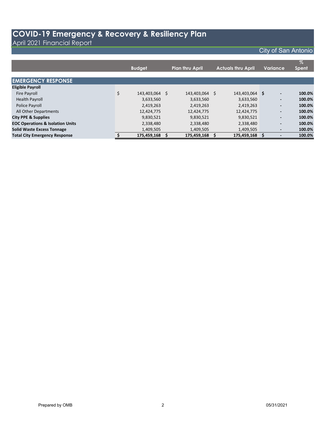#### April 2021 Financial Report

## City of San Antonio

|                                             |     | <b>Budget</b>  |          | <b>Plan thru April</b> |   | <b>Actuals thru April</b> |   | Variance                 | $\%$<br><b>Spent</b> |
|---------------------------------------------|-----|----------------|----------|------------------------|---|---------------------------|---|--------------------------|----------------------|
| <b>EMERGENCY RESPONSE</b>                   |     |                |          |                        |   |                           |   |                          |                      |
| <b>Eligible Payroll</b>                     |     |                |          |                        |   |                           |   |                          |                      |
| <b>Fire Payroll</b>                         | \$  | 143,403,064 \$ |          | 143,403,064            | Ŝ | 143,403,064               | S | $\overline{\phantom{a}}$ | 100.0%               |
| <b>Health Payroll</b>                       |     | 3,633,560      |          | 3,633,560              |   | 3,633,560                 |   | $\overline{\phantom{a}}$ | 100.0%               |
| Police Payroll                              |     | 2,419,263      |          | 2,419,263              |   | 2,419,263                 |   | $\overline{\phantom{a}}$ | 100.0%               |
| All Other Departments                       |     | 12,424,775     |          | 12,424,775             |   | 12,424,775                |   | $\overline{\phantom{a}}$ | 100.0%               |
| <b>City PPE &amp; Supplies</b>              |     | 9,830,521      |          | 9,830,521              |   | 9,830,521                 |   | $\overline{\phantom{a}}$ | 100.0%               |
| <b>EOC Operations &amp; Isolation Units</b> |     | 2,338,480      |          | 2,338,480              |   | 2,338,480                 |   | $\overline{\phantom{a}}$ | 100.0%               |
| <b>Solid Waste Excess Tonnage</b>           |     | 1,409,505      |          | 1,409,505              |   | 1,409,505                 |   | $\overline{\phantom{a}}$ | 100.0%               |
| <b>Total City Emergency Response</b>        | \$. | 175,459,168    | <b>S</b> | 175,459,168            |   | 175,459,168               | s |                          | 100.0%               |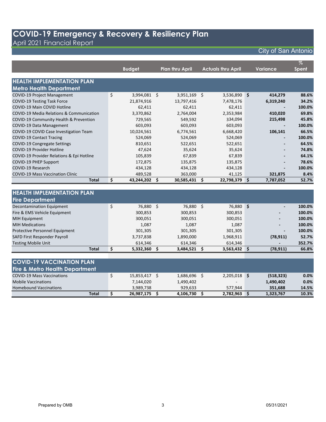April 2021 Financial Report

## City of San Antonio

|                                           | <b>Budget</b>      |   | <b>Plan thru April</b> |   | <b>Actuals thru April</b> |   | Variance                 | $\%$<br><b>Spent</b> |
|-------------------------------------------|--------------------|---|------------------------|---|---------------------------|---|--------------------------|----------------------|
|                                           |                    |   |                        |   |                           |   |                          |                      |
| <b>HEALTH IMPLEMENTATION PLAN</b>         |                    |   |                        |   |                           |   |                          |                      |
| <b>Metro Health Department</b>            |                    |   |                        |   |                           |   |                          |                      |
| <b>COVID-19 Project Management</b>        | \$<br>3,994,081 \$ |   | 3,951,169              | S | 3,536,890 \$              |   | 414,279                  | 88.6%                |
| <b>COVID-19 Testing Task Force</b>        | 21,874,916         |   | 13,797,416             |   | 7,478,176                 |   | 6,319,240                | 34.2%                |
| COVID-19 Main COVID Hotline               | 62,411             |   | 62,411                 |   | 62,411                    |   |                          | 100.0%               |
| COVID-19 Media Relations & Communication  | 3,370,862          |   | 2,764,004              |   | 2,353,984                 |   | 410,020                  | 69.8%                |
| COVID-19 Community Health & Prevention    | 729,565            |   | 549,592                |   | 334,094                   |   | 215,498                  | 45.8%                |
| COVID-19 Data Management                  | 603,093            |   | 603,093                |   | 603,093                   |   |                          | 100.0%               |
| COVID-19 COVID Case Investigation Team    | 10,024,561         |   | 6,774,561              |   | 6,668,420                 |   | 106,141                  | 66.5%                |
| <b>COVID-19 Contact Tracing</b>           | 524,069            |   | 524,069                |   | 524,069                   |   | $\overline{\phantom{0}}$ | 100.0%               |
| <b>COVID-19 Congregate Settings</b>       | 810,651            |   | 522,651                |   | 522,651                   |   |                          | 64.5%                |
| <b>COVID-19 Provider Hotline</b>          | 47,624             |   | 35,624                 |   | 35,624                    |   |                          | 74.8%                |
| COVID-19 Provider Relations & Epi Hotline | 105,839            |   | 67,839                 |   | 67,839                    |   |                          | 64.1%                |
| COVID-19 PHEP Support                     | 172,875            |   | 135,875                |   | 135,875                   |   |                          | 78.6%                |
| COVID-19 Research                         | 434,128            |   | 434,128                |   | 434,128                   |   |                          | 100.0%               |
| <b>COVID-19 Mass Vaccination Clinic</b>   | 489,528            |   | 363,000                |   | 41,125                    |   | 321,875                  | 8.4%                 |
| Total                                     | \$<br>43,244,202   | s | 30,585,431             | S | 22,798,379                | S | 7,787,052                | 52.7%                |

| <b>HEALTH IMPLEMENTATION PLAN</b> |                 |           |   |                |                          |        |
|-----------------------------------|-----------------|-----------|---|----------------|--------------------------|--------|
| <b>Fire Department</b>            |                 |           |   |                |                          |        |
| Decontamination Equipment         | \$<br>76,880 \$ | 76,880    | Ŝ | 76,880 \$      | $\overline{\phantom{a}}$ | 100.0% |
| Fire & EMS Vehicle Equipment      | 300,853         | 300,853   |   | 300,853        | $\blacksquare$           | 100.0% |
| MIH Equipment                     | 300,051         | 300,051   |   | 300,051        | $\overline{\phantom{a}}$ | 100.0% |
| <b>MIH Medications</b>            | 1,087           | 1,087     |   | 1,087          | ۰.                       | 100.0% |
| Protective Personnel Equipment    | 301,305         | 301,305   |   | 301,305        | $\overline{\phantom{a}}$ | 100.0% |
| SAFD First Responder Payroll      | 3,737,838       | 1,890,000 |   | 1,968,911      | (78, 911)                | 52.7%  |
| <b>Testing Mobile Unit</b>        | 614.346         | 614,346   |   | 614,346        | $\blacksquare$           | 352.7% |
| <b>Total</b>                      | 5,332,360       | 3,484,521 |   | $3,563,432$ \$ | (78, 911)                | 66.8%  |
|                                   |                 |           |   |                |                          |        |
|                                   |                 |           |   |                |                          |        |

| <b>ICOVID-19 VACCINATION PLAN</b>         |            |           |                |            |       |
|-------------------------------------------|------------|-----------|----------------|------------|-------|
| <b>Fire &amp; Metro Health Department</b> |            |           |                |            |       |
| <b>COVID-19 Mass Vaccinations</b>         | 15,853,417 | 1,686,696 | $2,205,018$ \$ | (518, 323) | 0.0%  |
| <b>Mobile Vaccinations</b>                | 7,144,020  | 1,490,402 | . .            | 1,490,402  | 0.0%  |
| <b>Homebound Vaccinations</b>             | 3.989.738  | 929.633   | 577.944        | 351.688    | 14.5% |
| Total                                     | 26,987,175 | 4,106,730 | 2,782,963      | 1,323,767  | 10.3% |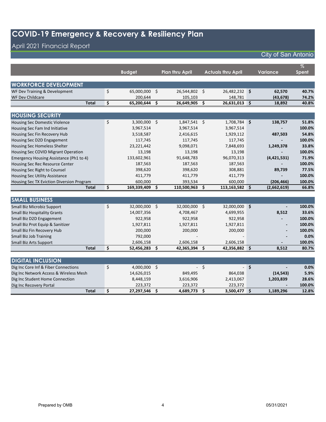## April 2021 Financial Report

| City of San Antonio |  |  |
|---------------------|--|--|
|---------------------|--|--|

|                                           |                     |     |                        |      |                           |        |                 | $\%$         |
|-------------------------------------------|---------------------|-----|------------------------|------|---------------------------|--------|-----------------|--------------|
|                                           | <b>Budget</b>       |     | <b>Plan thru April</b> |      | <b>Actuals thru April</b> |        | <b>Variance</b> | <b>Spent</b> |
|                                           |                     |     |                        |      |                           |        |                 |              |
| <b>WORKFORCE DEVELOPMENT</b>              |                     |     |                        |      |                           |        |                 |              |
| WF Dev Training & Development             | \$<br>65,000,000 \$ |     | 26,544,802             | \$   | 26,482,232 \$             |        | 62,570          | 40.7%        |
| <b>WF Dev Childcare</b>                   | 200,644             |     | 105,103                |      | 148,781                   |        | (43, 678)       | 74.2%        |
| <b>Total</b>                              | \$<br>65,200,644    | \$  | 26,649,905             | \$   | 26,631,013                | \$     | 18,892          | 40.8%        |
|                                           |                     |     |                        |      |                           |        |                 |              |
| <b>HOUSING SECURITY</b>                   |                     |     |                        |      |                           |        |                 |              |
| Housing Sec Domestic Violence             | \$<br>3,300,000 \$  |     | 1,847,541 \$           |      | 1,708,784 \$              |        | 138,757         | 51.8%        |
| Housing Sec Fam Ind Initiative            | 3,967,514           |     | 3,967,514              |      | 3,967,514                 |        |                 | 100.0%       |
| Housing Sec Fin Recovery Hub              | 3,518,587           |     | 2,416,615              |      | 1,929,112                 |        | 487,503         | 54.8%        |
| Housing Sec D2D Engagement                | 117,745             |     | 117,745                |      | 117,745                   |        |                 | 100.0%       |
| Housing Sec Homeless Shelter              | 23,221,442          |     | 9,098,071              |      | 7,848,693                 |        | 1,249,378       | 33.8%        |
| Housing Sec COVID Migrant Operation       | 13,198              |     | 13,198                 |      | 13,198                    |        |                 | 100.0%       |
| Emergency Housing Assistance (Ph1 to 4)   | 133,602,961         |     | 91,648,783             |      | 96,070,313                |        | (4,421,531)     | 71.9%        |
| Housing Sec Rec Resource Center           | 187,563             |     | 187,563                |      | 187,563                   |        |                 | 100.0%       |
| Housing Sec Right to Counsel              | 398,620             |     | 398,620                |      | 308,881                   |        | 89,739          | 77.5%        |
| <b>Housing Sec Utility Assistance</b>     | 411,779             |     | 411,779                |      | 411,779                   |        |                 | 100.0%       |
| Housing Sec TX Eviction Diversion Program | 600,000             |     | 393,534                |      | 600,000                   |        | (206, 466)      | 100.0%       |
| <b>Total</b>                              | \$<br>169,339,409   | \$  | 110,500,963            | \$.  | 113,163,582               | \$.    | (2,662,619)     | 66.8%        |
|                                           |                     |     |                        |      |                           |        |                 |              |
| <b>SMALL BUSINESS</b>                     |                     |     |                        |      |                           |        |                 |              |
| Small Biz Microbiz Support                | \$<br>32,000,000 \$ |     | 32,000,000 \$          |      | 32,000,000 \$             |        |                 | 100.0%       |
| <b>Small Biz Hospitality Grants</b>       | 14,007,356          |     | 4,708,467              |      | 4,699,955                 |        | 8,512           | 33.6%        |
| Small Biz D2D Engagement                  | 922,958             |     | 922,958                |      | 922,958                   |        |                 | 100.0%       |
| Small Biz Prot Equip & Sanitizer          | 1,927,811           |     | 1,927,811              |      | 1,927,811                 |        |                 | 100.0%       |
| Small Biz Fin Recovery Hub                | 200,000             |     | 200,000                |      | 200,000                   |        |                 | 100.0%       |
| <b>Small Biz Job Training</b>             | 792,000             |     |                        |      |                           |        |                 | 0.0%         |
| <b>Small Biz Arts Support</b>             | 2,606,158           |     | 2,606,158              |      | 2,606,158                 |        |                 | 100.0%       |
| <b>Total</b>                              | \$<br>52,456,283 \$ |     | 42,365,394             | \$.  | 42,356,882 \$             |        | 8,512           | 80.7%        |
|                                           |                     |     |                        |      |                           |        |                 |              |
| <b>DIGITAL INCLUSION</b>                  |                     |     |                        |      |                           |        |                 |              |
| Dig Inc Core Inf & Fiber Connections      | \$<br>4,000,000 \$  |     |                        | $-5$ |                           | $-$ \$ |                 | 0.0%         |
| Dig Inc Network Access & Wireless Mesh    | 14,626,015          |     | 849,495                |      | 864,038                   |        | (14, 543)       | 5.9%         |
| Dig Inc Student Home Connection           | 8,448,159           |     | 3,616,906              |      | 2,413,067                 |        | 1,203,839       | 28.6%        |
| Dig Inc Recovery Portal                   | 223,372             |     | 223,372                |      | 223,372                   |        |                 | 100.0%       |
| <b>Total</b>                              | \$<br>27,297,546    | \$. | 4,689,773              | \$   | 3,500,477 \$              |        | 1,189,296       | 12.8%        |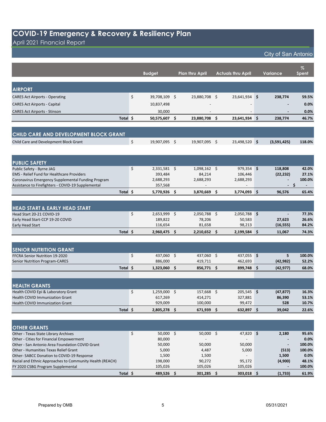April 2021 Financial Report

| City of San Antonio |
|---------------------|
|---------------------|

|                                                                                                          |          | <b>Budget</b>        | <b>Plan thru April</b> | <b>Actuals thru April</b> | <b>Variance</b>                  | %<br><b>Spent</b> |
|----------------------------------------------------------------------------------------------------------|----------|----------------------|------------------------|---------------------------|----------------------------------|-------------------|
|                                                                                                          |          |                      |                        |                           |                                  |                   |
| <b>AIRPORT</b>                                                                                           |          |                      |                        |                           |                                  |                   |
| <b>CARES Act Airports - Operating</b>                                                                    | \$       | 39,708,109 \$        | 23,880,708 \$          | 23,641,934 \$             | 238,774                          | 59.5%             |
| <b>CARES Act Airports - Capital</b>                                                                      |          | 10,837,498           |                        |                           |                                  | 0.0%              |
| <b>CARES Act Airports - Stinson</b>                                                                      |          | 30,000               |                        |                           |                                  | 0.0%              |
|                                                                                                          | Total \$ | 50,575,607 \$        | 23,880,708 \$          | 23,641,934 \$             | 238,774                          | 46.7%             |
|                                                                                                          |          |                      |                        |                           |                                  |                   |
| CHILD CARE AND DEVELOPMENT BLOCK GRANT                                                                   |          |                      |                        |                           |                                  |                   |
| Child Care and Development Block Grant                                                                   | \$       | 19,907,095 \$        | 19,907,095 \$          | 23,498,520 \$             | (3,591,425)                      | 118.0%            |
|                                                                                                          |          |                      |                        |                           |                                  |                   |
|                                                                                                          |          |                      |                        |                           |                                  |                   |
| <b>PUBLIC SAFETY</b>                                                                                     |          |                      |                        |                           |                                  |                   |
| Public Safety - Byrne JAG                                                                                | \$       | $2,331,581$ \$       | $1,098,162$ \$         | $979,354$ \$              | 118,808                          | 42.0%             |
| <b>EMS</b> - Relief Fund for Healthcare Providers                                                        |          | 393,484              | 84,214                 | 106,446                   | (22, 232)                        | 27.1%             |
| Coronavirus Emergency Supplemental Funding Program<br>Assistance to Firefighters - COVID-19 Supplemental |          | 2,688,293<br>357,568 | 2,688,293              | 2,688,293                 | - \$<br>$\overline{\phantom{a}}$ | 100.0%            |
|                                                                                                          |          |                      |                        |                           |                                  |                   |
|                                                                                                          | Total \$ | 5,770,926 \$         | 3,870,669 \$           | 3,774,093 \$              | 96,576                           | 65.4%             |
|                                                                                                          |          |                      |                        |                           |                                  |                   |
| <b>HEAD START &amp; EARLY HEAD START</b>                                                                 |          |                      |                        |                           |                                  |                   |
| Head Start 20-21 COVID-19                                                                                | \$       | 2,653,999 \$         | 2,050,788 \$           | 2,050,788 \$              |                                  | 77.3%             |
| Early Head Start-CCP 19-20 COVID                                                                         |          | 189,822              | 78,206                 | 50,583                    | 27,623                           | 26.6%             |
| <b>Early Head Start</b>                                                                                  |          | 116,654              | 81,658                 | 98,213                    | (16, 555)                        | 84.2%             |
|                                                                                                          | Total \$ | 2,960,475 \$         | $2,210,652$ \$         | $2,199,584$ \$            | 11,067                           | 74.3%             |
|                                                                                                          |          |                      |                        |                           |                                  |                   |
| <b>SENIOR NUTRITION GRANT</b>                                                                            |          |                      |                        |                           |                                  |                   |
| FFCRA Senior Nutrition 19-2020                                                                           | \$       | 437,060 \$           | 437,060 \$             | 437,055 \$                | 5                                | 100.0%            |
| <b>Senior Nutrition Program-CARES</b>                                                                    |          | 886,000              | 419,711                | 462,693                   | (42, 982)                        | 52.2%             |
|                                                                                                          | Total \$ | 1,323,060 \$         | 856,771 \$             | 899,748 \$                | (42, 977)                        | 68.0%             |
|                                                                                                          |          |                      |                        |                           |                                  |                   |
|                                                                                                          |          |                      |                        |                           |                                  |                   |
| <b>HEALTH GRANTS</b>                                                                                     |          |                      |                        |                           |                                  |                   |
| Health COVID Epi & Laboratory Grant                                                                      | \$       | $1,259,000$ \$       | 157,668 \$             | 205,545 \$                | (47, 877)                        | 16.3%             |
| <b>Health COVID Immunization Grant</b>                                                                   |          | 617,269              | 414,271                | 327,881                   | 86,390                           | 53.1%             |
| <b>Health COVID Immunization Grant</b>                                                                   |          | 929,009              | 100,000                | 99,472                    | 528                              | 10.7%             |
| Total \$                                                                                                 |          | 2,805,278 \$         | 671,939 \$             | 632,897 \$                | 39,042                           | 22.6%             |
|                                                                                                          |          |                      |                        |                           |                                  |                   |
| <b>OTHER GRANTS</b>                                                                                      |          |                      |                        |                           |                                  |                   |
| Other - Texas State Library Archives                                                                     | \$       | 50,000 \$            | $50,000$ \$            | 47,820 \$                 | 2,180                            | 95.6%             |
| Other - Cities for Financial Empowerment                                                                 |          | 80,000               |                        |                           |                                  | 0.0%              |
| Other - San Antonio Area Foundation COVID Grant                                                          |          | 50,000               | 50,000                 | 50,000                    |                                  | 100.0%            |
| Other - Humanities Texas Relief Grant                                                                    |          | 5,000                | 4,487                  | 5,000                     | (513)                            | 100.0%            |
| Other-SABCC Donation to COVID-19 Response                                                                |          | 1,500                | 1,500                  |                           | 1,500                            | 0.0%              |
| Racial and Ethnic Approaches to Community Health (REACH)                                                 |          | 198,000              | 90,272                 | 95,172                    | (4,900)                          | 48.1%             |
| FY 2020 CSBG Program Supplemental                                                                        |          | 105,026              | 105,026                | 105,026                   |                                  | 100.0%            |
|                                                                                                          | Total \$ | 489,526 \$           | 301,285 \$             | 303,018 \$                | (1, 733)                         | 61.9%             |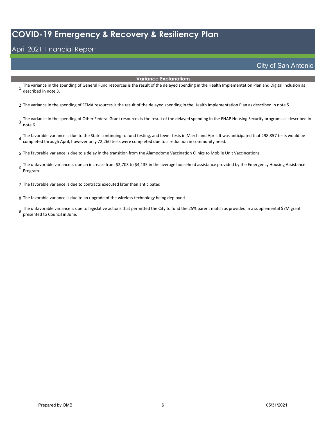## April 2021 Financial Report

City of San Antonio

#### **Variance Explanations**

1 The variance in the spending of General Fund resources is the result of the delayed spending in the Health Implementation Plan and Digital Inclusion as described in note 3.

2 The variance in the spending of FEMA resources is the result of the delayed spending in the Health Implementation Plan as described in note 5.

- The variance in the spending of Other Federal Grant resources is the result of the delayed spending in the EHAP Housing Security programs as described in<br>3 note C note 6.
- The favorable variance is due to the State continuing to fund testing, and fewer tests in March and April. It was anticipated that 298,857 tests would be <br>4 completed through April, bougues splu 73,200 tests were completed completed through April, however only 72,260 tests were completed due to a reduction in community need.

5 The favorable variance is due to a delay in the transition from the Alamodome Vaccination Clinics to Mobile Unit Vaccincations.

6 The unfavorable variance is due an increase from \$2,703 to \$4,135 in the average household assistance provided by the Emergency Housing Assistance Program.

7 The favorable variance is due to contracts executed later than anticipated.

8 The favorable variance is due to an upgrade of the wireless technology being deployed.

g The unfavorable variance is due to legislative actions that permitted the City to fund the 25% parent match as provided in a supplemental \$7M grant (37M grant presented to Council in June.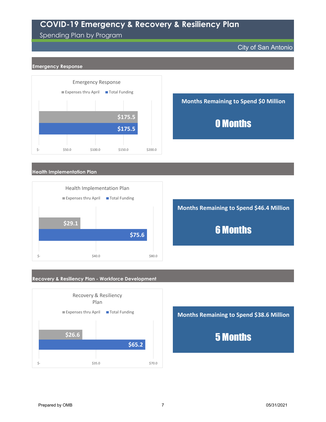### Spending Plan by Program

City of San Antonio

#### **Emergency Response**



**Months Remaining to Spend \$0 Million** 0 Months

#### **Health Implementation Plan**



**Months Remaining to Spend \$46.4 Million**

6 Months

#### **Recovery & Resiliency Plan - Workforce Development**



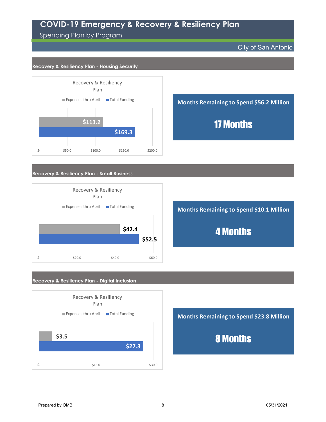Spending Plan by Program

City of San Antonio

#### **Recovery & Resiliency Plan - Housing Security**





#### **Recovery & Resiliency Plan - Small Business**



**Months Remaining to Spend \$10.1 Million**

4 Months

#### **Recovery & Resiliency Plan - Digital Inclusion**



**Months Remaining to Spend \$23.8 Million** 8 Months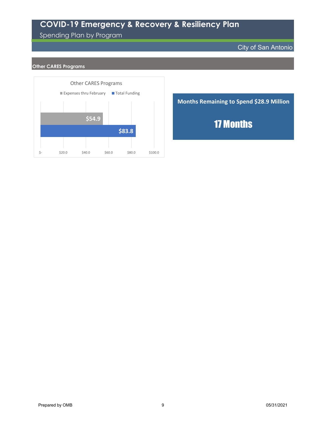## Spending Plan by Program

#### City of San Antonio

#### **Other CARES Programs**



**Months Remaining to Spend \$28.9 Million** 17 Months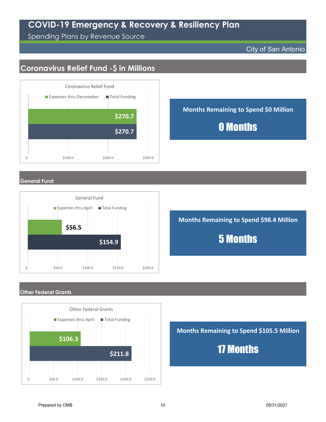Spending Plans by Revenue Source

#### City of San Antonio

## **Coronavirus Relief Fund -\$ in Millions**



**Months Remaining to Spend \$0 Million 0 Months 6270.7** 

**General Fund**



**Months Remaining to Spend \$98.4 Million** 5 Months

#### **Other Federal Grants**



**Months Remaining to Spend \$105.5 Million**

17 Months